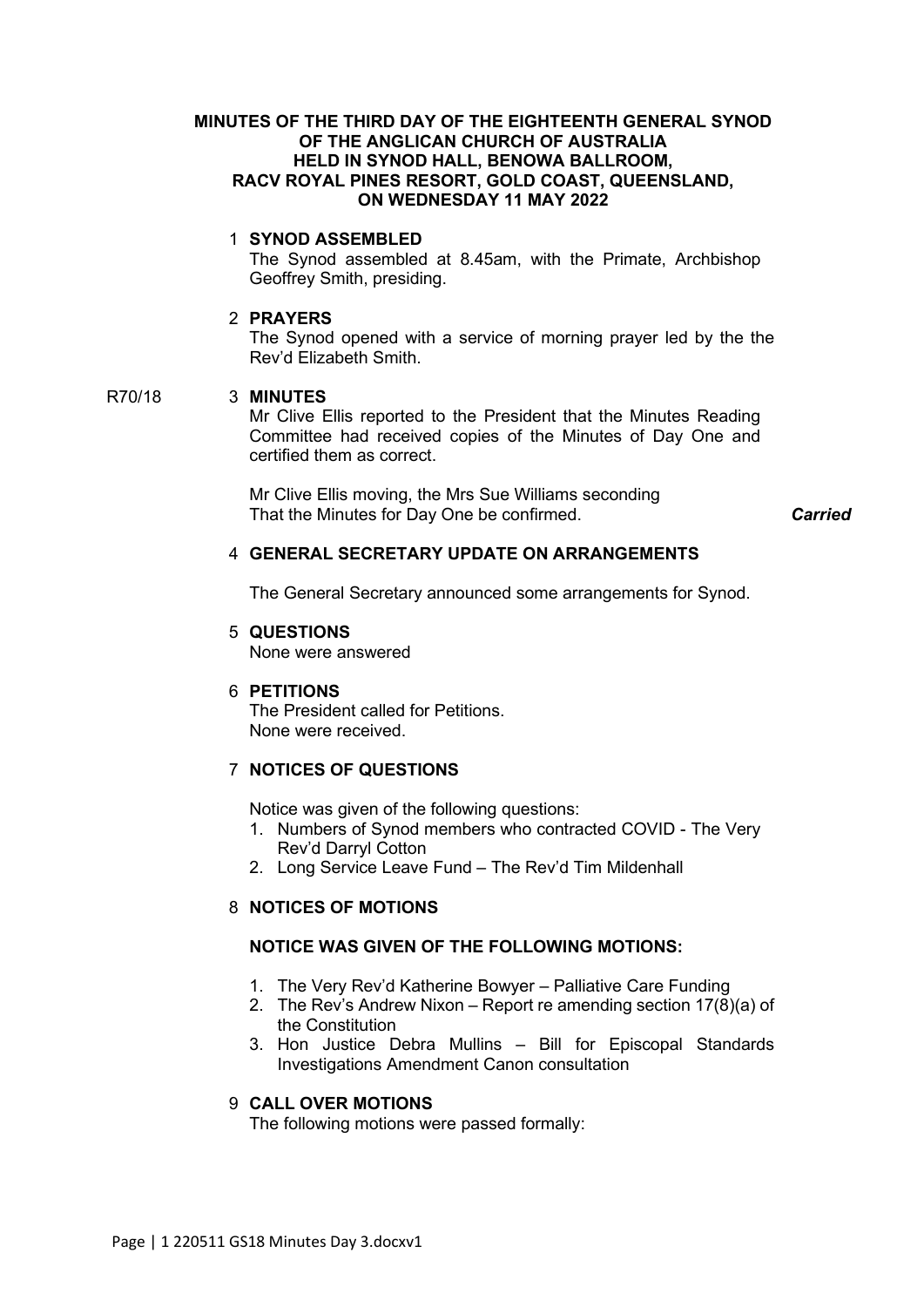# **MINUTES OF THE THIRD DAY OF THE EIGHTEENTH GENERAL SYNOD OF THE ANGLICAN CHURCH OF AUSTRALIA HELD IN SYNOD HALL, BENOWA BALLROOM, RACV ROYAL PINES RESORT, GOLD COAST, QUEENSLAND, ON WEDNESDAY 11 MAY 2022**

# 1 **SYNOD ASSEMBLED**

The Synod assembled at 8.45am, with the Primate, Archbishop Geoffrey Smith, presiding.

# 2 **PRAYERS**

The Synod opened with a service of morning prayer led by the the Rev'd Elizabeth Smith.

# R70/18 3 **MINUTES**

Mr Clive Ellis reported to the President that the Minutes Reading Committee had received copies of the Minutes of Day One and certified them as correct.

Mr Clive Ellis moving, the Mrs Sue Williams seconding That the Minutes for Day One be confirmed. *Carried*

# 4 **GENERAL SECRETARY UPDATE ON ARRANGEMENTS**

The General Secretary announced some arrangements for Synod.

# 5 **QUESTIONS**

None were answered

# 6 **PETITIONS**

The President called for Petitions. None were received.

# 7 **NOTICES OF QUESTIONS**

Notice was given of the following questions:

- 1. Numbers of Synod members who contracted COVID The Very Rev'd Darryl Cotton
- 2. Long Service Leave Fund The Rev'd Tim Mildenhall

# 8 **NOTICES OF MOTIONS**

# **NOTICE WAS GIVEN OF THE FOLLOWING MOTIONS:**

- 1. The Very Rev'd Katherine Bowyer Palliative Care Funding
- 2. The Rev's Andrew Nixon Report re amending section 17(8)(a) of the Constitution
- 3. Hon Justice Debra Mullins Bill for Episcopal Standards Investigations Amendment Canon consultation

# 9 **CALL OVER MOTIONS**

The following motions were passed formally: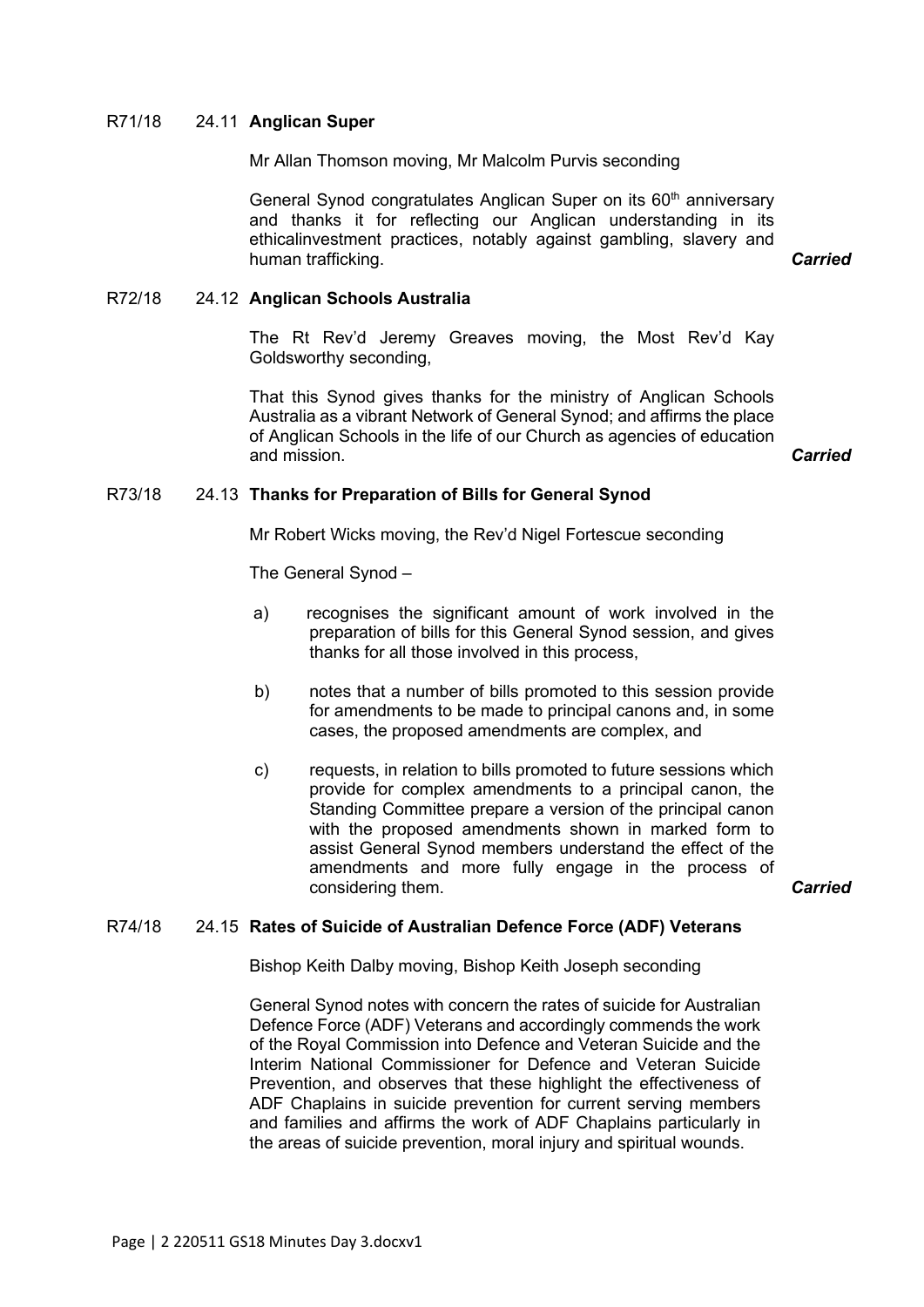## R71/18 24.11 **Anglican Super**

Mr Allan Thomson moving, Mr Malcolm Purvis seconding

General Synod congratulates Anglican Super on its 60<sup>th</sup> anniversary and thanks it for reflecting our Anglican understanding in its ethicalinvestment practices, notably against gambling, slavery and human trafficking. *Carried*

# R72/18 24.12 **Anglican Schools Australia**

The Rt Rev'd Jeremy Greaves moving, the Most Rev'd Kay Goldsworthy seconding,

That this Synod gives thanks for the ministry of Anglican Schools Australia as a vibrant Network of General Synod; and affirms the place of Anglican Schools in the life of our Church as agencies of education and mission. *Carried*

#### R73/18 24.13 **Thanks for Preparation of Bills for General Synod**

Mr Robert Wicks moving, the Rev'd Nigel Fortescue seconding

The General Synod –

- a) recognises the significant amount of work involved in the preparation of bills for this General Synod session, and gives thanks for all those involved in this process,
- b) notes that a number of bills promoted to this session provide for amendments to be made to principal canons and, in some cases, the proposed amendments are complex, and
- c) requests, in relation to bills promoted to future sessions which provide for complex amendments to a principal canon, the Standing Committee prepare a version of the principal canon with the proposed amendments shown in marked form to assist General Synod members understand the effect of the amendments and more fully engage in the process of considering them. *Carried*

### R74/18 24.15 **Rates of Suicide of Australian Defence Force (ADF) Veterans**

Bishop Keith Dalby moving, Bishop Keith Joseph seconding

General Synod notes with concern the rates of suicide for Australian Defence Force (ADF) Veterans and accordingly commends the work of the Royal Commission into Defence and Veteran Suicide and the Interim National Commissioner for Defence and Veteran Suicide Prevention, and observes that these highlight the effectiveness of ADF Chaplains in suicide prevention for current serving members and families and affirms the work of ADF Chaplains particularly in the areas of suicide prevention, moral injury and spiritual wounds.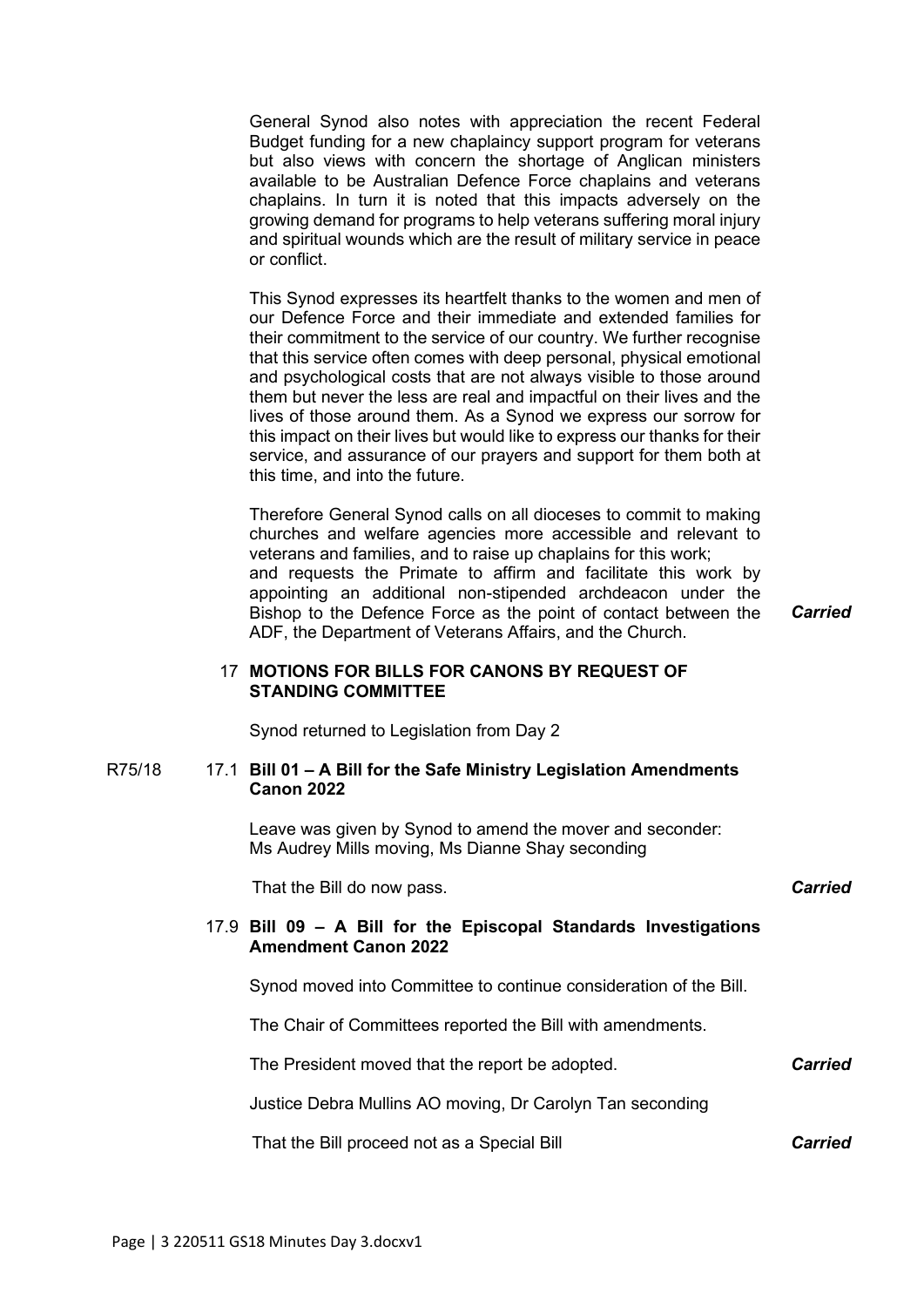General Synod also notes with appreciation the recent Federal Budget funding for a new chaplaincy support program for veterans but also views with concern the shortage of Anglican ministers available to be Australian Defence Force chaplains and veterans chaplains. In turn it is noted that this impacts adversely on the growing demand for programs to help veterans suffering moral injury and spiritual wounds which are the result of military service in peace or conflict.

This Synod expresses its heartfelt thanks to the women and men of our Defence Force and their immediate and extended families for their commitment to the service of our country. We further recognise that this service often comes with deep personal, physical emotional and psychological costs that are not always visible to those around them but never the less are real and impactful on their lives and the lives of those around them. As a Synod we express our sorrow for this impact on their lives but would like to express our thanks for their service, and assurance of our prayers and support for them both at this time, and into the future.

Therefore General Synod calls on all dioceses to commit to making churches and welfare agencies more accessible and relevant to veterans and families, and to raise up chaplains for this work; and requests the Primate to affirm and facilitate this work by appointing an additional non-stipended archdeacon under the Bishop to the Defence Force as the point of contact between the ADF, the Department of Veterans Affairs, and the Church.

*Carried*

# 17 **MOTIONS FOR BILLS FOR CANONS BY REQUEST OF STANDING COMMITTEE**

Synod returned to Legislation from Day 2

#### R75/18 17.1 **Bill 01 – A Bill for the Safe Ministry Legislation Amendments Canon 2022**

Leave was given by Synod to amend the mover and seconder: Ms Audrey Mills moving, Ms Dianne Shay seconding

That the Bill do now pass. *Carried*

# 17.9 **Bill 09 – A Bill for the Episcopal Standards Investigations Amendment Canon 2022**

Synod moved into Committee to continue consideration of the Bill.

The Chair of Committees reported the Bill with amendments.

The President moved that the report be adopted.

*Carried*

*Carried*

Justice Debra Mullins AO moving, Dr Carolyn Tan seconding

That the Bill proceed not as a Special Bill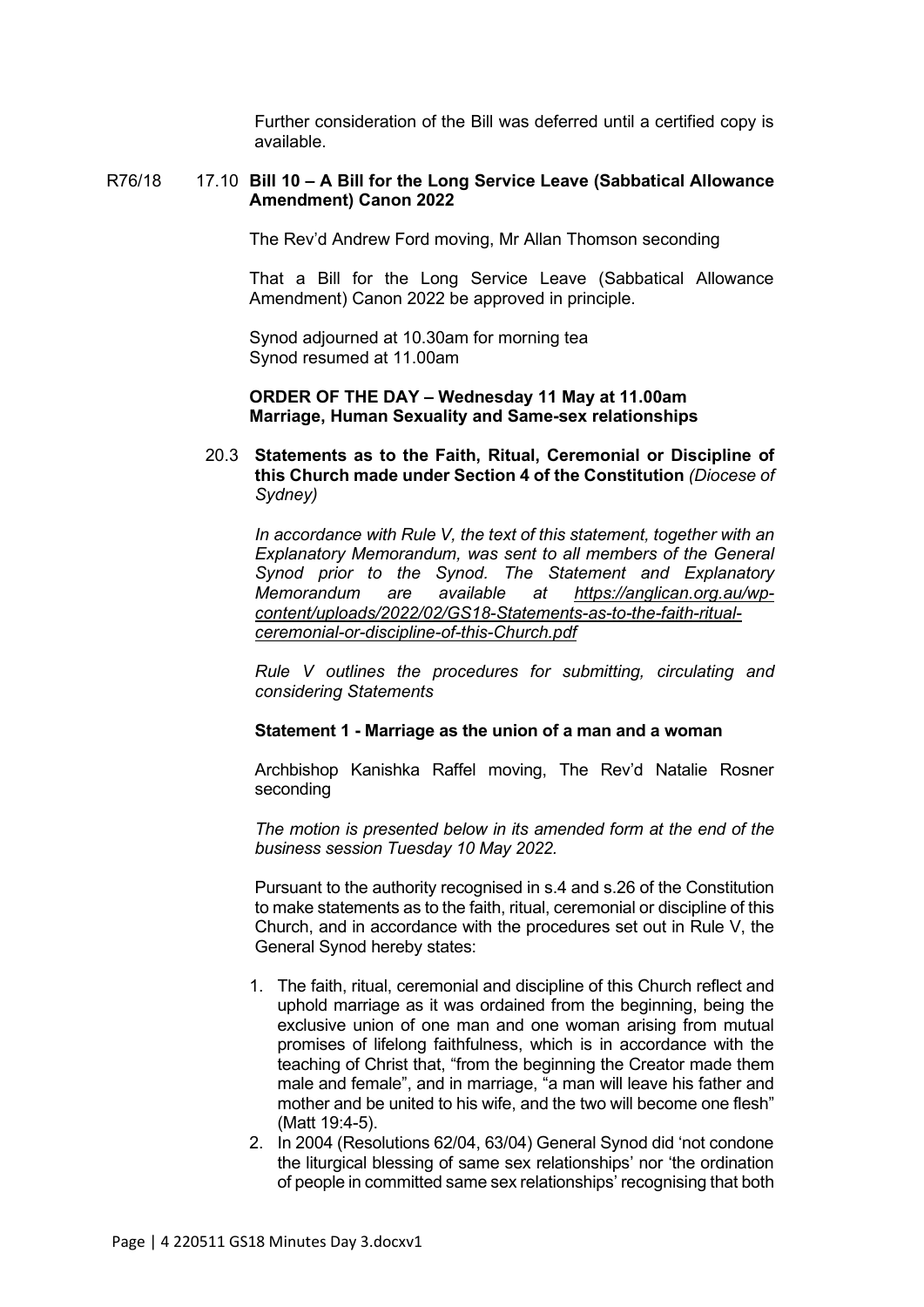Further consideration of the Bill was deferred until a certified copy is available.

## R76/18 17.10 **Bill 10 – A Bill for the Long Service Leave (Sabbatical Allowance Amendment) Canon 2022**

The Rev'd Andrew Ford moving, Mr Allan Thomson seconding

That a Bill for the Long Service Leave (Sabbatical Allowance Amendment) Canon 2022 be approved in principle.

Synod adjourned at 10.30am for morning tea Synod resumed at 11.00am

### **ORDER OF THE DAY – Wednesday 11 May at 11.00am Marriage, Human Sexuality and Same-sex relationships**

20.3 **Statements as to the Faith, Ritual, Ceremonial or Discipline of this Church made under Section 4 of the Constitution** *(Diocese of Sydney)*

*In accordance with Rule V, the text of this statement, together with an Explanatory Memorandum, was sent to all members of the General Synod prior to the Synod. The Statement and Explanatory Memorandum are available at [https://anglican.org.au/wp](https://anglican.org.au/wp-content/uploads/2022/02/GS18-Statements-as-to-the-faith-ritual-ceremonial-or-discipline-of-this-Church.pdf)[content/uploads/2022/02/GS18-Statements-as-to-the-faith-ritual](https://anglican.org.au/wp-content/uploads/2022/02/GS18-Statements-as-to-the-faith-ritual-ceremonial-or-discipline-of-this-Church.pdf)[ceremonial-or-discipline-of-this-Church.pdf](https://anglican.org.au/wp-content/uploads/2022/02/GS18-Statements-as-to-the-faith-ritual-ceremonial-or-discipline-of-this-Church.pdf)*

*[Rule](https://anglican.org.au/wp-content/uploads/2022/02/Rule-V-Statement-made-under-Section-4-of-the-Constitution.pdf) V outlines the procedures for submitting, circulating and considering Statements*

#### **Statement 1 - Marriage as the union of a man and a woman**

Archbishop Kanishka Raffel moving, The Rev'd Natalie Rosner seconding

*The motion is presented below in its amended form at the end of the business session Tuesday 10 May 2022.*

Pursuant to the authority recognised in s.4 and s.26 of the Constitution to make statements as to the faith, ritual, ceremonial or discipline of this Church, and in accordance with the procedures set out in Rule V, the General Synod hereby states:

- 1. The faith, ritual, ceremonial and discipline of this Church reflect and uphold marriage as it was ordained from the beginning, being the exclusive union of one man and one woman arising from mutual promises of lifelong faithfulness, which is in accordance with the teaching of Christ that, "from the beginning the Creator made them male and female", and in marriage, "a man will leave his father and mother and be united to his wife, and the two will become one flesh" (Matt 19:4-5).
- 2. In 2004 (Resolutions 62/04, 63/04) General Synod did 'not condone the liturgical blessing of same sex relationships' nor 'the ordination of people in committed same sex relationships' recognising that both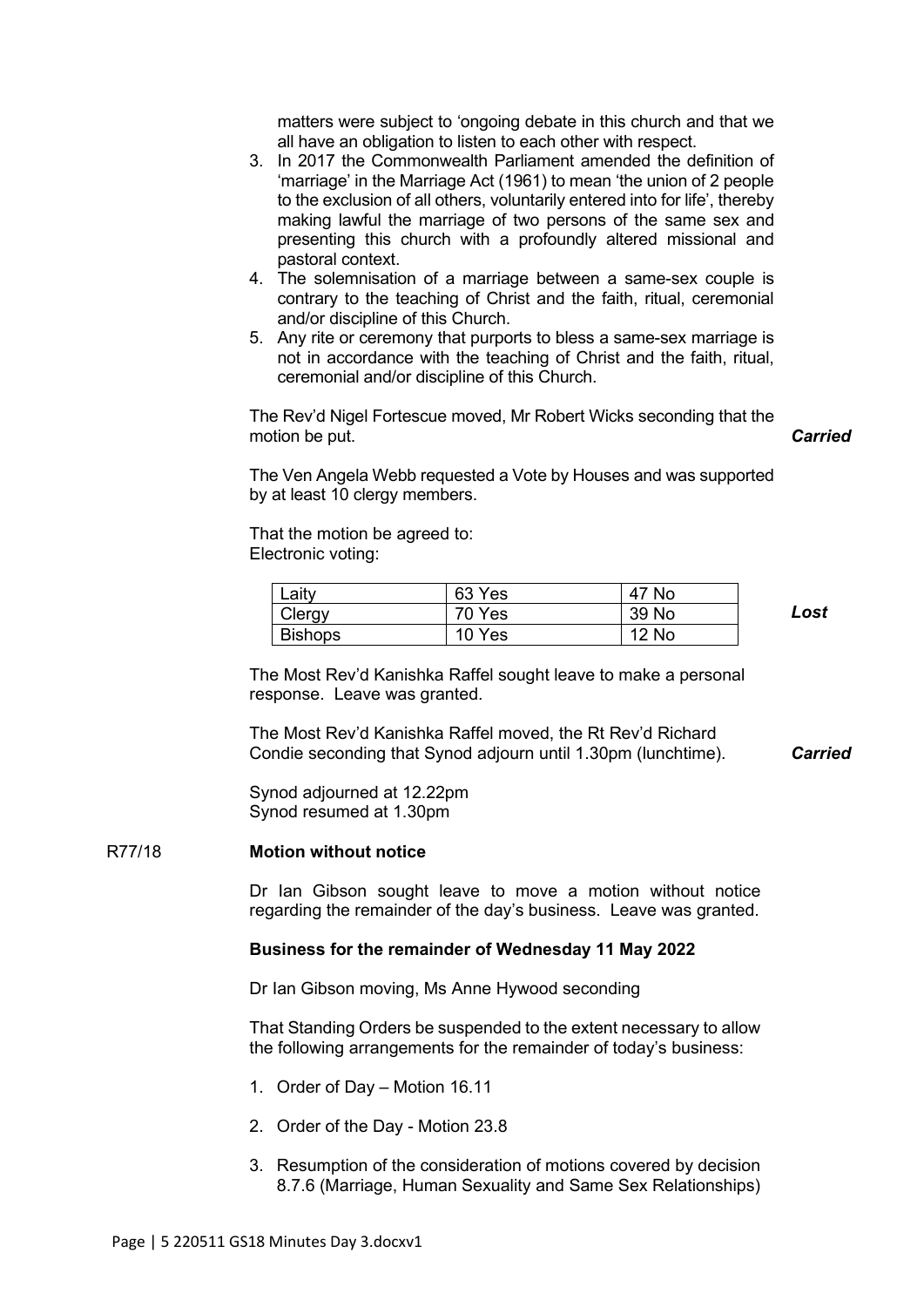matters were subject to 'ongoing debate in this church and that we all have an obligation to listen to each other with respect.

- 3. In 2017 the Commonwealth Parliament amended the definition of 'marriage' in the Marriage Act (1961) to mean 'the union of 2 people to the exclusion of all others, voluntarily entered into for life', thereby making lawful the marriage of two persons of the same sex and presenting this church with a profoundly altered missional and pastoral context.
- 4. The solemnisation of a marriage between a same-sex couple is contrary to the teaching of Christ and the faith, ritual, ceremonial and/or discipline of this Church.
- 5. Any rite or ceremony that purports to bless a same-sex marriage is not in accordance with the teaching of Christ and the faith, ritual, ceremonial and/or discipline of this Church.

The Rev'd Nigel Fortescue moved, Mr Robert Wicks seconding that the motion be put.

The Ven Angela Webb requested a Vote by Houses and was supported by at least 10 clergy members.

That the motion be agreed to: Electronic voting:

| ∟aity          | 63 Yes | 47 No |   |
|----------------|--------|-------|---|
| Clergy         | 70 Yes | 39 No | ட |
| <b>Bishops</b> | 10 Yes | 12 No |   |

*Lost*

*Carried*

The Most Rev'd Kanishka Raffel sought leave to make a personal response. Leave was granted.

The Most Rev'd Kanishka Raffel moved, the Rt Rev'd Richard Condie seconding that Synod adjourn until 1.30pm (lunchtime). *Carried*

Synod adjourned at 12.22pm Synod resumed at 1.30pm

#### R77/18 **Motion without notice**

Dr Ian Gibson sought leave to move a motion without notice regarding the remainder of the day's business. Leave was granted.

#### **Business for the remainder of Wednesday 11 May 2022**

Dr Ian Gibson moving, Ms Anne Hywood seconding

That Standing Orders be suspended to the extent necessary to allow the following arrangements for the remainder of today's business:

- 1. Order of Day Motion 16.11
- 2. Order of the Day Motion 23.8
- 3. Resumption of the consideration of motions covered by decision 8.7.6 (Marriage, Human Sexuality and Same Sex Relationships)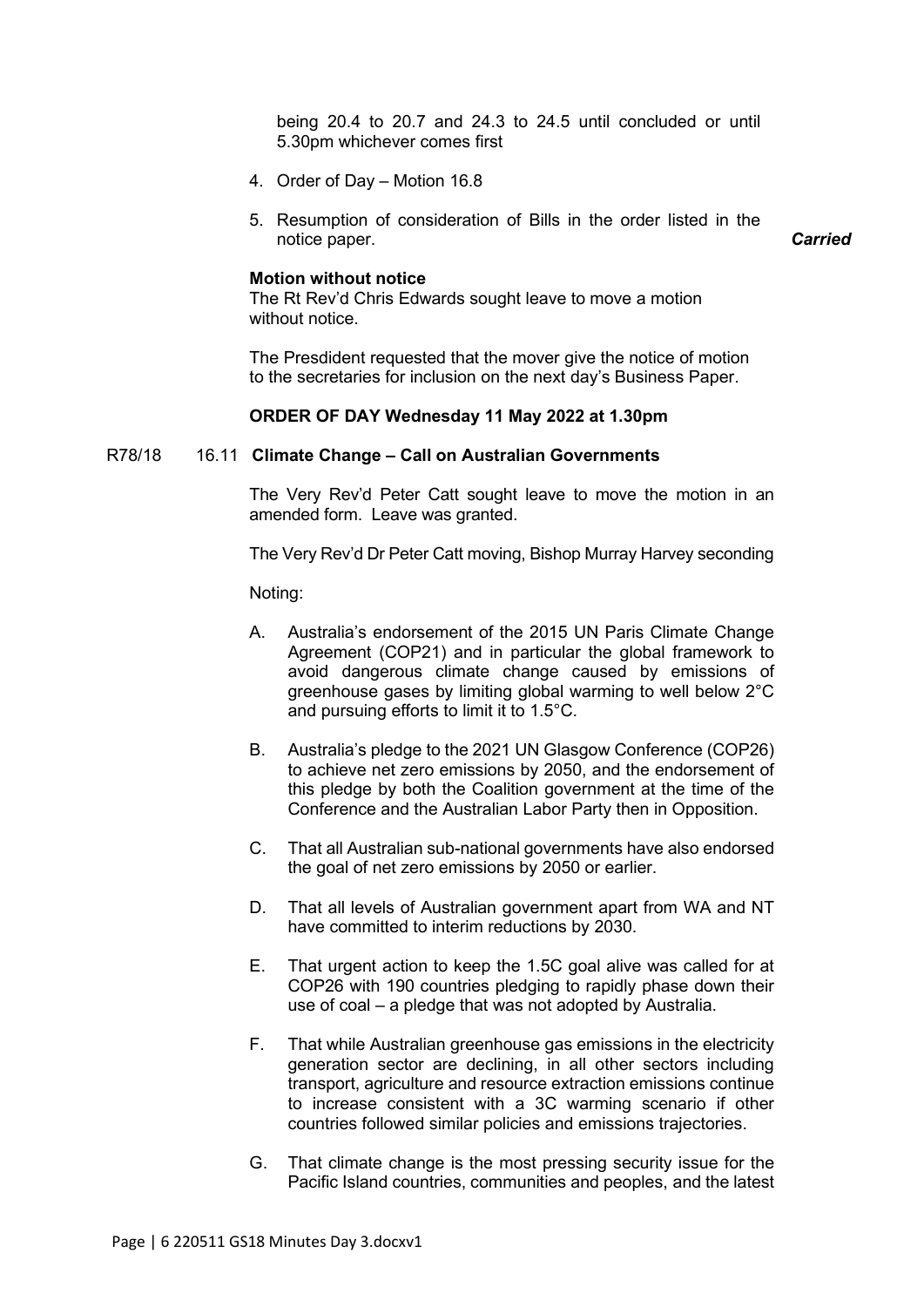being 20.4 to 20.7 and 24.3 to 24.5 until concluded or until 5.30pm whichever comes first

- 4. Order of Day Motion 16.8
- 5. Resumption of consideration of Bills in the order listed in the notice paper. *Carried*

#### **Motion without notice**

The Rt Rev'd Chris Edwards sought leave to move a motion without notice.

The Presdident requested that the mover give the notice of motion to the secretaries for inclusion on the next day's Business Paper.

#### **ORDER OF DAY Wednesday 11 May 2022 at 1.30pm**

#### R78/18 16.11 **Climate Change – Call on Australian Governments**

The Very Rev'd Peter Catt sought leave to move the motion in an amended form. Leave was granted.

The Very Rev'd Dr Peter Catt moving, Bishop Murray Harvey seconding

Noting:

- A. Australia's endorsement of the 2015 UN Paris Climate Change Agreement (COP21) and in particular the global framework to avoid dangerous climate change caused by emissions of greenhouse gases by limiting global warming to well below 2°C and pursuing efforts to limit it to 1.5°C.
- B. Australia's pledge to the 2021 UN Glasgow Conference (COP26) to achieve net zero emissions by 2050, and the endorsement of this pledge by both the Coalition government at the time of the Conference and the Australian Labor Party then in Opposition.
- C. That all Australian sub-national governments have also endorsed the goal of net zero emissions by 2050 or earlier.
- D. That all levels of Australian government apart from WA and NT have committed to interim reductions by 2030.
- E. That urgent action to keep the 1.5C goal alive was called for at COP26 with 190 countries pledging to rapidly phase down their use of coal – a pledge that was not adopted by Australia.
- F. That while Australian greenhouse gas emissions in the electricity generation sector are declining, in all other sectors including transport, agriculture and resource extraction emissions continue to increase consistent with a 3C warming scenario if other countries followed similar policies and emissions trajectories.
- G. That climate change is the most pressing security issue for the Pacific Island countries, communities and peoples, and the latest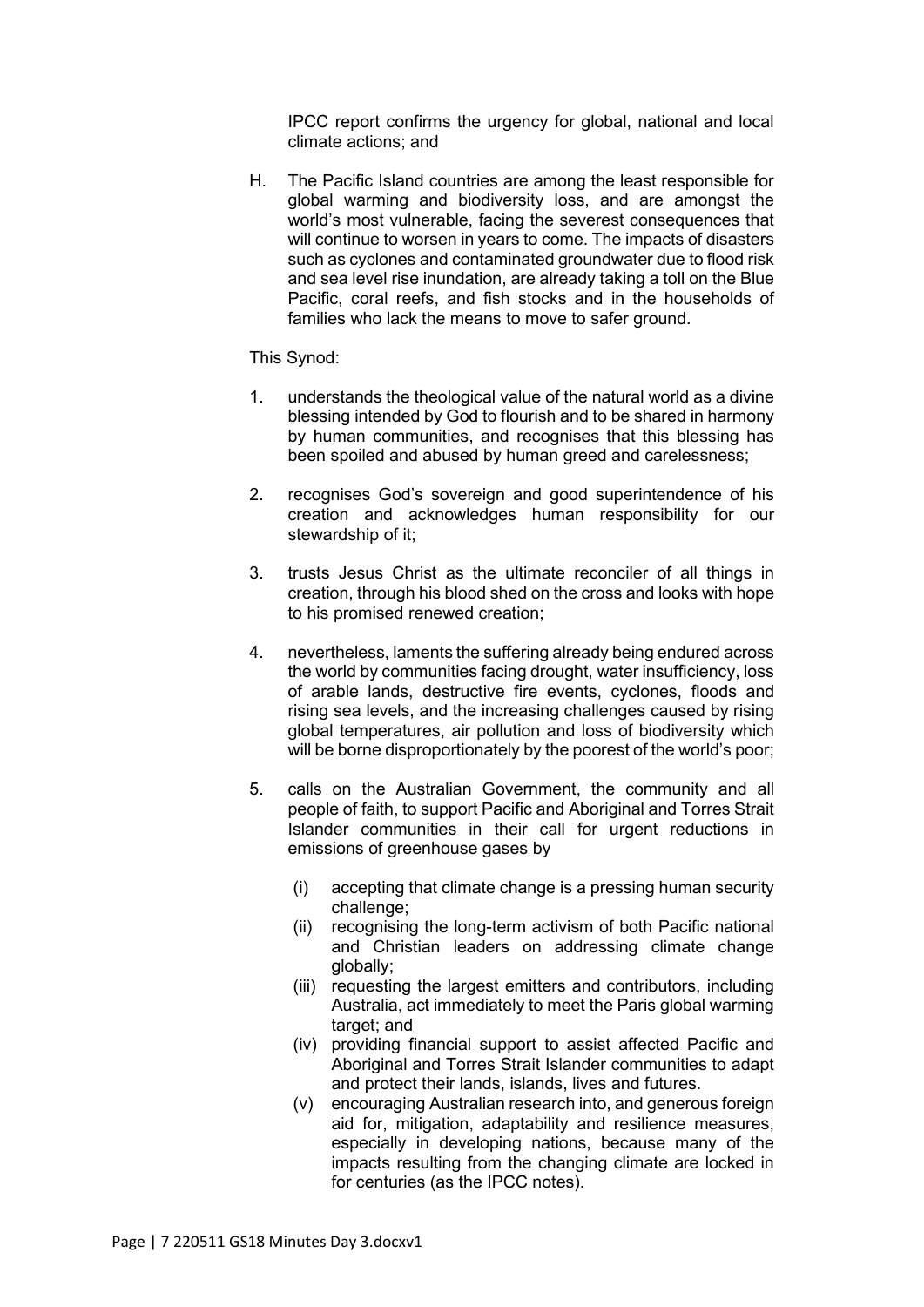IPCC report confirms the urgency for global, national and local climate actions; and

H. The Pacific Island countries are among the least responsible for global warming and biodiversity loss, and are amongst the world's most vulnerable, facing the severest consequences that will continue to worsen in years to come. The impacts of disasters such as cyclones and contaminated groundwater due to flood risk and sea level rise inundation, are already taking a toll on the Blue Pacific, coral reefs, and fish stocks and in the households of families who lack the means to move to safer ground.

# This Synod:

- 1. understands the theological value of the natural world as a divine blessing intended by God to flourish and to be shared in harmony by human communities, and recognises that this blessing has been spoiled and abused by human greed and carelessness;
- 2. recognises God's sovereign and good superintendence of his creation and acknowledges human responsibility for our stewardship of it;
- 3. trusts Jesus Christ as the ultimate reconciler of all things in creation, through his blood shed on the cross and looks with hope to his promised renewed creation;
- 4. nevertheless, laments the suffering already being endured across the world by communities facing drought, water insufficiency, loss of arable lands, destructive fire events, cyclones, floods and rising sea levels, and the increasing challenges caused by rising global temperatures, air pollution and loss of biodiversity which will be borne disproportionately by the poorest of the world's poor;
- 5. calls on the Australian Government, the community and all people of faith, to support Pacific and Aboriginal and Torres Strait Islander communities in their call for urgent reductions in emissions of greenhouse gases by
	- (i) accepting that climate change is a pressing human security challenge;
	- (ii) recognising the long-term activism of both Pacific national and Christian leaders on addressing climate change globally;
	- (iii) requesting the largest emitters and contributors, including Australia, act immediately to meet the Paris global warming target; and
	- (iv) providing financial support to assist affected Pacific and Aboriginal and Torres Strait Islander communities to adapt and protect their lands, islands, lives and futures.
	- (v) encouraging Australian research into, and generous foreign aid for, mitigation, adaptability and resilience measures, especially in developing nations, because many of the impacts resulting from the changing climate are locked in for centuries (as the IPCC notes).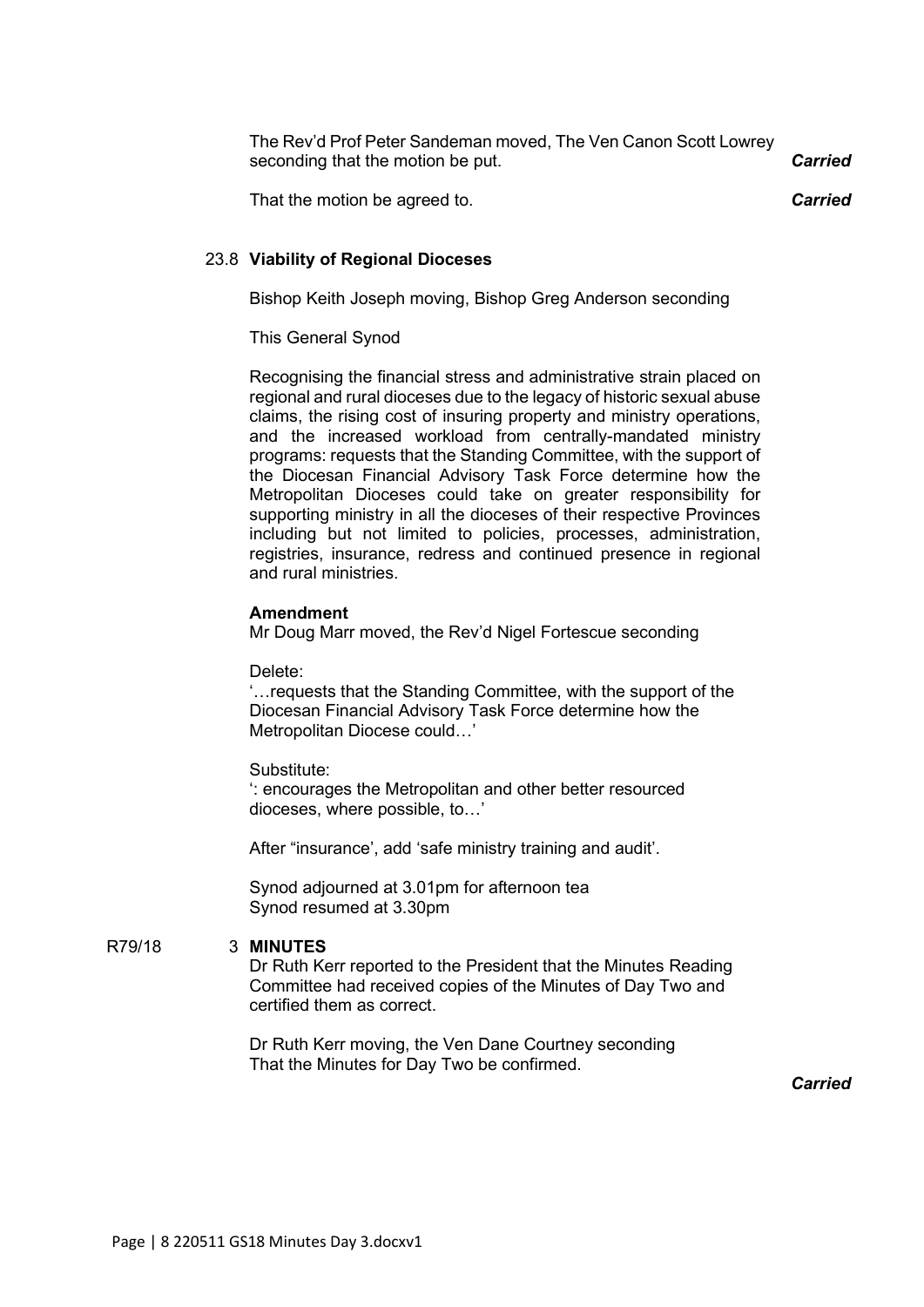| The Rev'd Prof Peter Sandeman moved, The Ven Canon Scott Lowrey<br>seconding that the motion be put. | <b>Carried</b> |
|------------------------------------------------------------------------------------------------------|----------------|
| That the motion be agreed to.                                                                        | <b>Carried</b> |

# 23.8 **Viability of Regional Dioceses**

Bishop Keith Joseph moving, Bishop Greg Anderson seconding

# This General Synod

Recognising the financial stress and administrative strain placed on regional and rural dioceses due to the legacy of historic sexual abuse claims, the rising cost of insuring property and ministry operations, and the increased workload from centrally-mandated ministry programs: requests that the Standing Committee, with the support of the Diocesan Financial Advisory Task Force determine how the Metropolitan Dioceses could take on greater responsibility for supporting ministry in all the dioceses of their respective Provinces including but not limited to policies, processes, administration, registries, insurance, redress and continued presence in regional and rural ministries.

#### **Amendment**

Mr Doug Marr moved, the Rev'd Nigel Fortescue seconding

Delete:

'…requests that the Standing Committee, with the support of the Diocesan Financial Advisory Task Force determine how the Metropolitan Diocese could…'

#### Substitute:

': encourages the Metropolitan and other better resourced dioceses, where possible, to…'

After "insurance', add 'safe ministry training and audit'.

Synod adjourned at 3.01pm for afternoon tea Synod resumed at 3.30pm

#### R79/18 3 **MINUTES**

Dr Ruth Kerr reported to the President that the Minutes Reading Committee had received copies of the Minutes of Day Two and certified them as correct.

Dr Ruth Kerr moving, the Ven Dane Courtney seconding That the Minutes for Day Two be confirmed.

*Carried*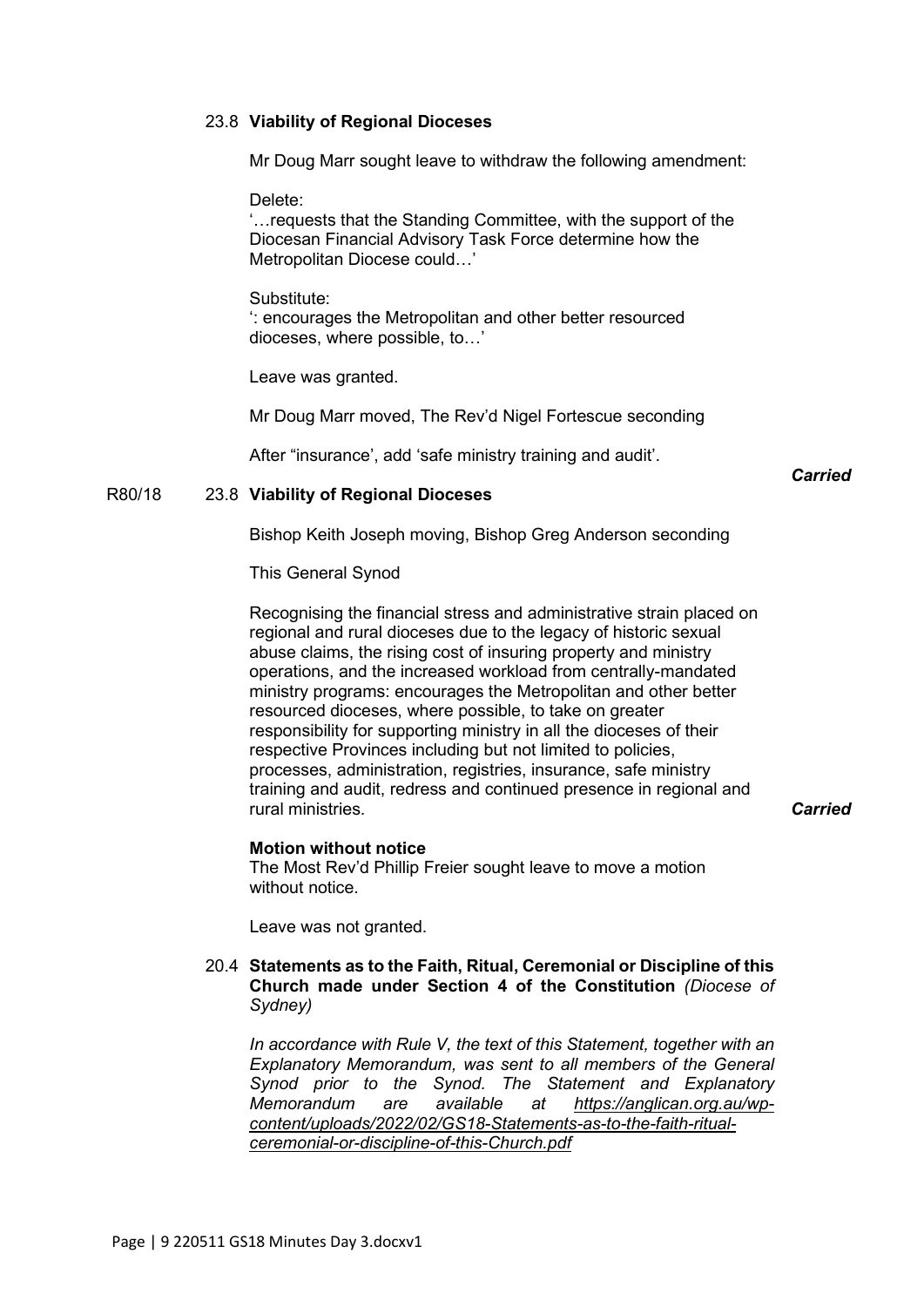## 23.8 **Viability of Regional Dioceses**

Mr Doug Marr sought leave to withdraw the following amendment:

Delete:

'…requests that the Standing Committee, with the support of the Diocesan Financial Advisory Task Force determine how the Metropolitan Diocese could…'

Substitute: ': encourages the Metropolitan and other better resourced dioceses, where possible, to…'

Leave was granted.

Mr Doug Marr moved, The Rev'd Nigel Fortescue seconding

After "insurance', add 'safe ministry training and audit'.

#### *Carried*

# R80/18 23.8 **Viability of Regional Dioceses**

Bishop Keith Joseph moving, Bishop Greg Anderson seconding

This General Synod

Recognising the financial stress and administrative strain placed on regional and rural dioceses due to the legacy of historic sexual abuse claims, the rising cost of insuring property and ministry operations, and the increased workload from centrally-mandated ministry programs: encourages the Metropolitan and other better resourced dioceses, where possible, to take on greater responsibility for supporting ministry in all the dioceses of their respective Provinces including but not limited to policies, processes, administration, registries, insurance, safe ministry training and audit, redress and continued presence in regional and rural ministries. *Carried*

#### **Motion without notice**

The Most Rev'd Phillip Freier sought leave to move a motion without notice.

Leave was not granted.

# 20.4 **Statements as to the Faith, Ritual, Ceremonial or Discipline of this Church made under Section 4 of the Constitution** *(Diocese of Sydney)*

*In accordance with Rule V, the text of this Statement, together with an Explanatory Memorandum, was sent to all members of the General Synod prior to the Synod. The Statement and Explanatory Memorandum are available at [https://anglican.org.au/wp](https://anglican.org.au/wp-content/uploads/2022/02/GS18-Statements-as-to-the-faith-ritual-ceremonial-or-discipline-of-this-Church.pdf)[content/uploads/2022/02/GS18-Statements-as-to-the-faith-ritual](https://anglican.org.au/wp-content/uploads/2022/02/GS18-Statements-as-to-the-faith-ritual-ceremonial-or-discipline-of-this-Church.pdf)[ceremonial-or-discipline-of-this-Church.pdf](https://anglican.org.au/wp-content/uploads/2022/02/GS18-Statements-as-to-the-faith-ritual-ceremonial-or-discipline-of-this-Church.pdf)*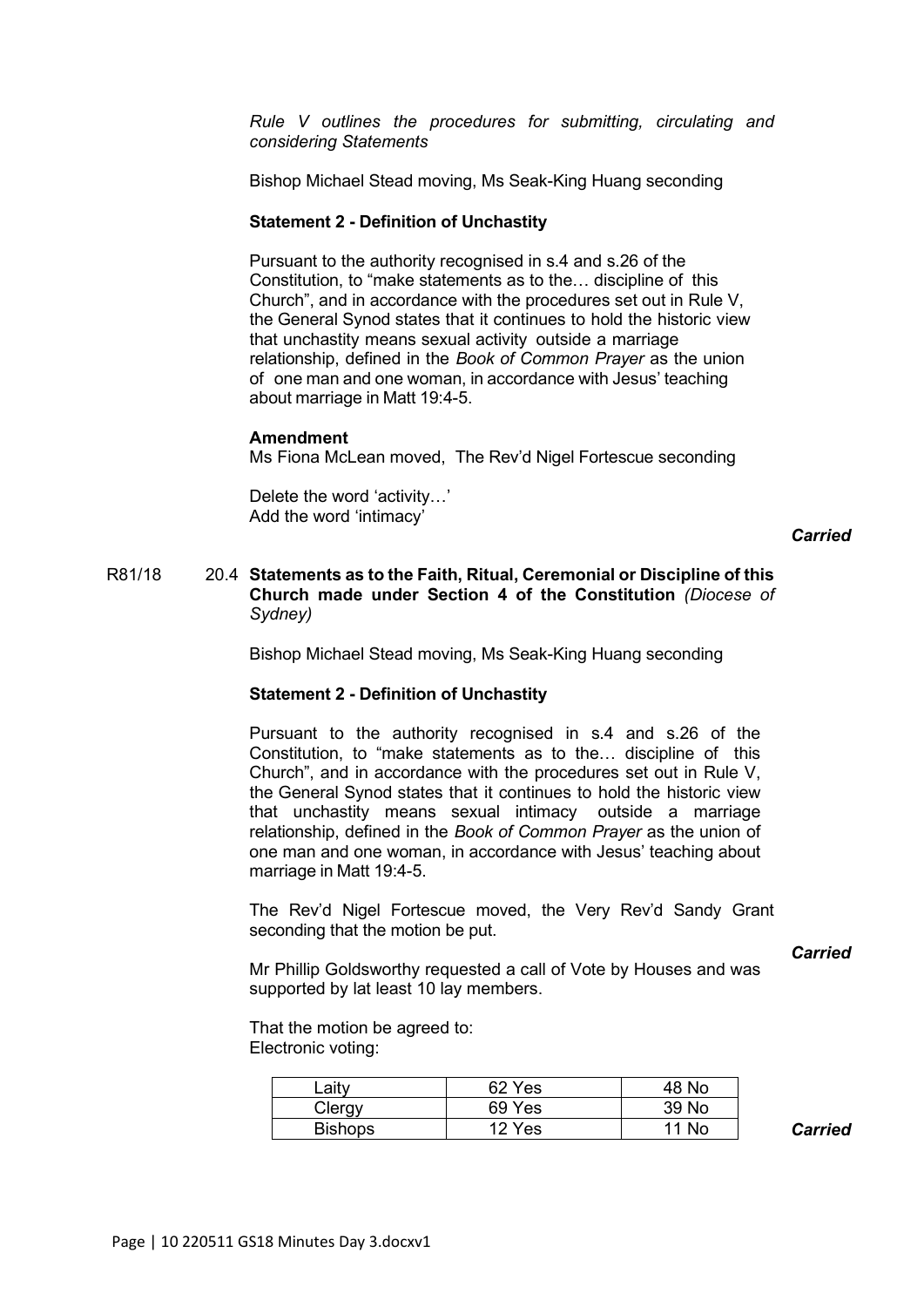*[Rule](https://anglican.org.au/wp-content/uploads/2022/02/Rule-V-Statement-made-under-Section-4-of-the-Constitution.pdf) V outlines the procedures for submitting, circulating and considering Statements*

Bishop Michael Stead moving, Ms Seak-King Huang seconding

# **Statement 2 - Definition of Unchastity**

Pursuant to the authority recognised in s.4 and s.26 of the Constitution, to "make statements as to the… discipline of this Church", and in accordance with the procedures set out in Rule V, the General Synod states that it continues to hold the historic view that unchastity means sexual activity outside a marriage relationship, defined in the *Book of Common Prayer* as the union of one man and one woman, in accordance with Jesus' teaching about marriage in Matt 19:4-5.

#### **Amendment**

Ms Fiona McLean moved, The Rev'd Nigel Fortescue seconding

Delete the word 'activity…' Add the word 'intimacy'

#### *Carried*

# R81/18 20.4 **Statements as to the Faith, Ritual, Ceremonial or Discipline of this Church made under Section 4 of the Constitution** *(Diocese of Sydney)*

Bishop Michael Stead moving, Ms Seak-King Huang seconding

#### **Statement 2 - Definition of Unchastity**

Pursuant to the authority recognised in s.4 and s.26 of the Constitution, to "make statements as to the… discipline of this Church", and in accordance with the procedures set out in Rule V, the General Synod states that it continues to hold the historic view that unchastity means sexual intimacy outside a marriage relationship, defined in the *Book of Common Prayer* as the union of one man and one woman, in accordance with Jesus' teaching about marriage in Matt 19:4-5.

The Rev'd Nigel Fortescue moved, the Very Rev'd Sandy Grant seconding that the motion be put.

#### *Carried*

Mr Phillip Goldsworthy requested a call of Vote by Houses and was supported by lat least 10 lay members.

That the motion be agreed to: Electronic voting:

| ∟aity          | 62 Yes | 48 No           |
|----------------|--------|-----------------|
| Clergy         | 69 Yes | 39 <sub>0</sub> |
| <b>Bishops</b> | 12 Yes | 11 No           |

*Carried*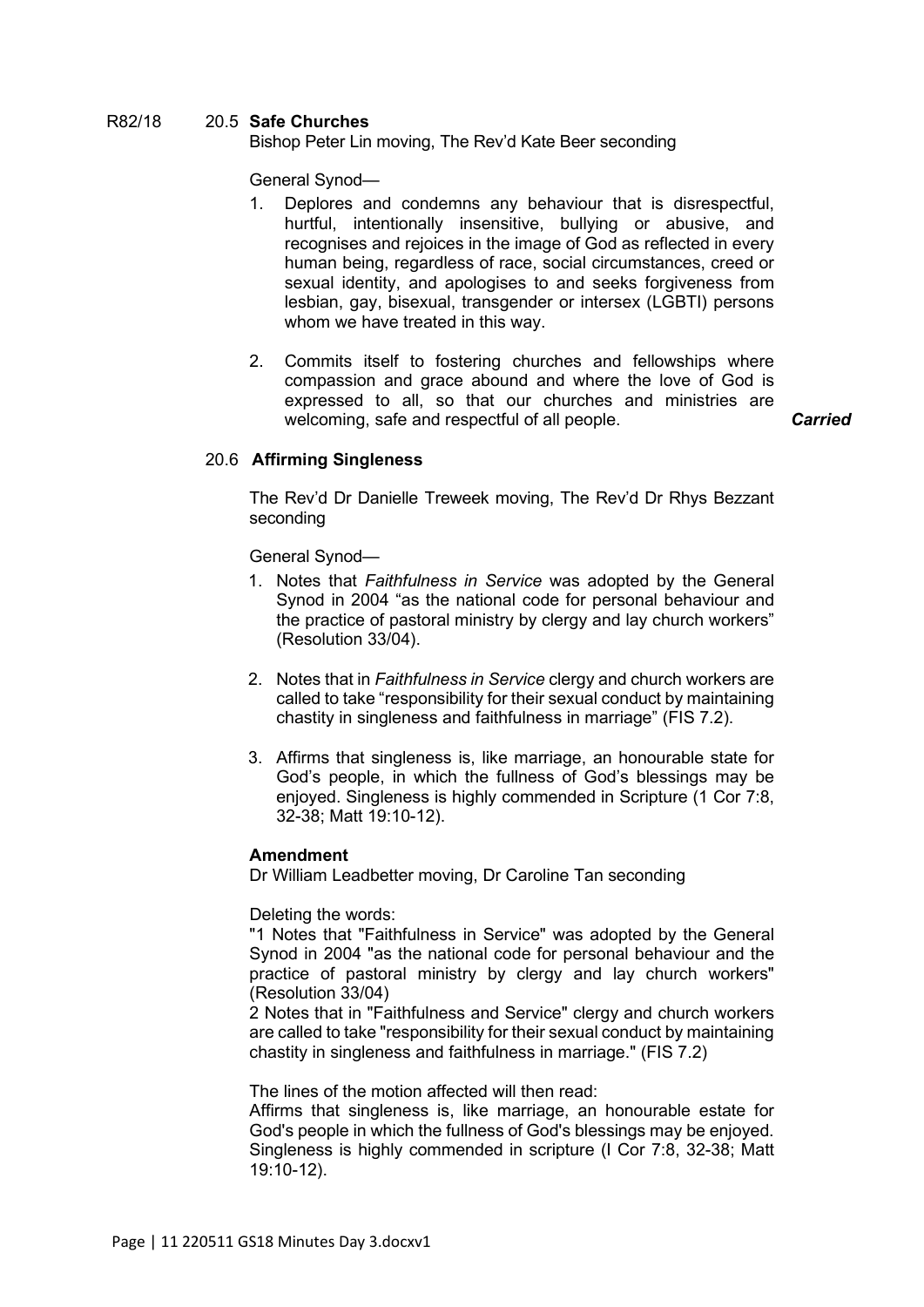# R82/18 20.5 **Safe Churches**

Bishop Peter Lin moving, The Rev'd Kate Beer seconding

General Synod—

- 1. Deplores and condemns any behaviour that is disrespectful, hurtful, intentionally insensitive, bullying or abusive, and recognises and rejoices in the image of God as reflected in every human being, regardless of race, social circumstances, creed or sexual identity, and apologises to and seeks forgiveness from lesbian, gay, bisexual, transgender or intersex (LGBTI) persons whom we have treated in this way.
- 2. Commits itself to fostering churches and fellowships where compassion and grace abound and where the love of God is expressed to all, so that our churches and ministries are welcoming, safe and respectful of all people. *Carried*

# 20.6 **Affirming Singleness**

The Rev'd Dr Danielle Treweek moving, The Rev'd Dr Rhys Bezzant seconding

General Synod—

- 1. Notes that *Faithfulness in Service* was adopted by the General Synod in 2004 "as the national code for personal behaviour and the practice of pastoral ministry by clergy and lay church workers" (Resolution 33/04).
- 2. Notes that in *Faithfulness in Service* clergy and church workers are called to take "responsibility for their sexual conduct by maintaining chastity in singleness and faithfulness in marriage" (FIS 7.2).
- 3. Affirms that singleness is, like marriage, an honourable state for God's people, in which the fullness of God's blessings may be enjoyed. Singleness is highly commended in Scripture (1 Cor 7:8, 32-38; Matt 19:10-12).

# **Amendment**

Dr William Leadbetter moving, Dr Caroline Tan seconding

Deleting the words:

"1 Notes that "Faithfulness in Service" was adopted by the General Synod in 2004 "as the national code for personal behaviour and the practice of pastoral ministry by clergy and lay church workers" (Resolution 33/04)

2 Notes that in "Faithfulness and Service" clergy and church workers are called to take "responsibility for their sexual conduct by maintaining chastity in singleness and faithfulness in marriage." (FIS 7.2)

The lines of the motion affected will then read:

Affirms that singleness is, like marriage, an honourable estate for God's people in which the fullness of God's blessings may be enjoyed. Singleness is highly commended in scripture (I Cor 7:8, 32-38; Matt 19:10-12).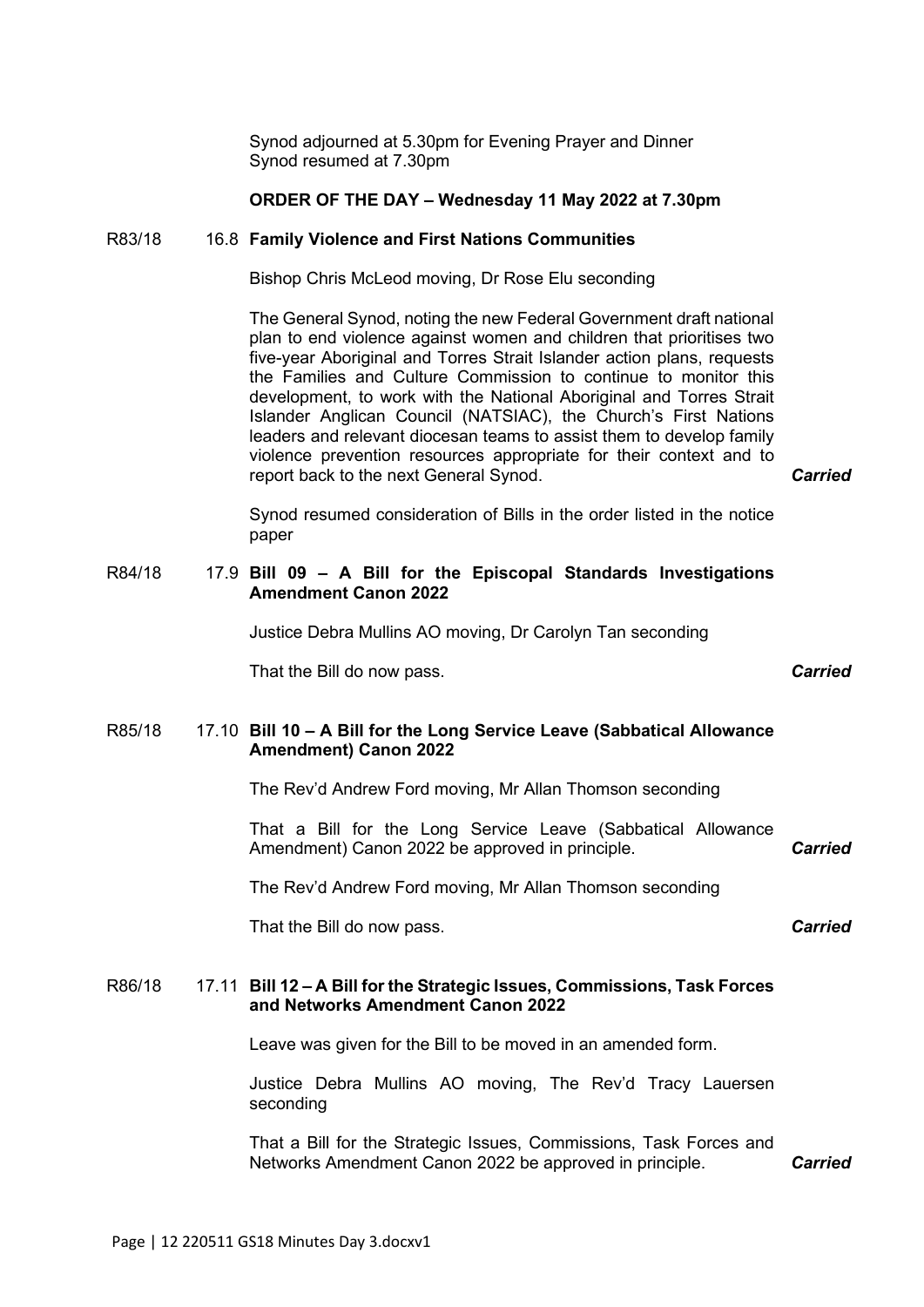Synod adjourned at 5.30pm for Evening Prayer and Dinner Synod resumed at 7.30pm

# **ORDER OF THE DAY – Wednesday 11 May 2022 at 7.30pm**

#### R83/18 16.8 **Family Violence and First Nations Communities**

Bishop Chris McLeod moving, Dr Rose Elu seconding

The General Synod, noting the new Federal Government draft national plan to end violence against women and children that prioritises two five-year Aboriginal and Torres Strait Islander action plans, requests the Families and Culture Commission to continue to monitor this development, to work with the National Aboriginal and Torres Strait Islander Anglican Council (NATSIAC), the Church's First Nations leaders and relevant diocesan teams to assist them to develop family violence prevention resources appropriate for their context and to report back to the next General Synod. *Carried*

Synod resumed consideration of Bills in the order listed in the notice paper

# R84/18 17.9 **Bill 09 – A Bill for the Episcopal Standards Investigations Amendment Canon 2022**

Justice Debra Mullins AO moving, Dr Carolyn Tan seconding

That the Bill do now pass. *Carried*

# R85/18 17.10 **Bill 10 – A Bill for the Long Service Leave (Sabbatical Allowance Amendment) Canon 2022**

The Rev'd Andrew Ford moving, Mr Allan Thomson seconding

That a Bill for the Long Service Leave (Sabbatical Allowance Amendment) Canon 2022 be approved in principle. *Carried*

The Rev'd Andrew Ford moving, Mr Allan Thomson seconding

That the Bill do now pass.

# R86/18 17.11 **Bill 12 – A Bill for the Strategic Issues, Commissions, Task Forces and Networks Amendment Canon 2022**

Leave was given for the Bill to be moved in an amended form.

Justice Debra Mullins AO moving, The Rev'd Tracy Lauersen seconding

That a Bill for the Strategic Issues, Commissions, Task Forces and Networks Amendment Canon 2022 be approved in principle. *Carried*

*Carried*